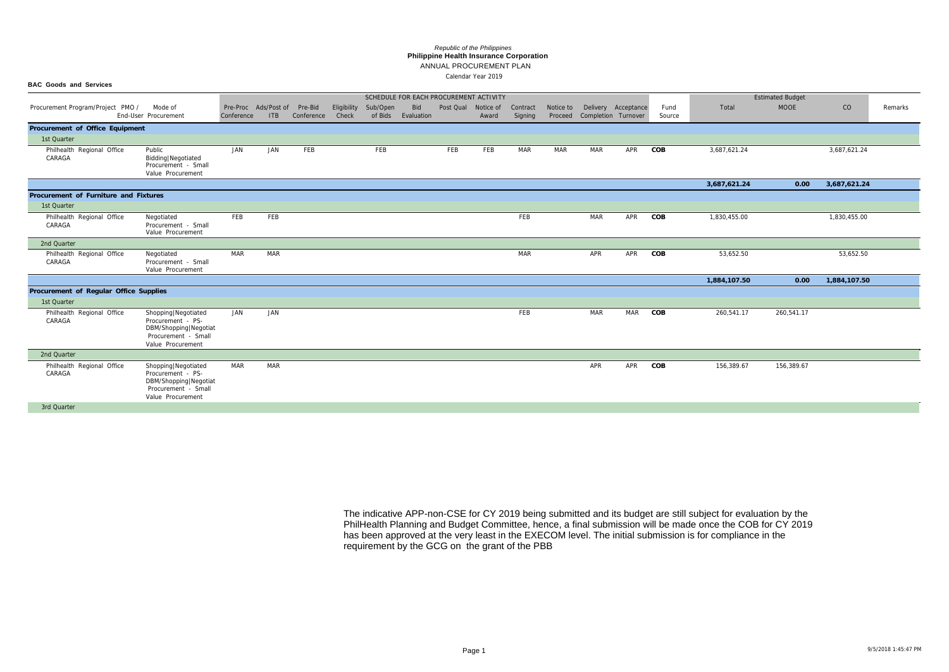# ANNUAL PROCUREMENT PLAN

### **Philippine Health Insurance Corporation** *Republic of the Philippines*

|                                        |                                                                                                                   |            |                             |                       |                      |                     |                   |                     | SCHEDULE FOR EACH PROCUREMENT ACTIVITY |                     |                      |                     |                     |                |              | <b>Estimated Budget</b> |              |         |
|----------------------------------------|-------------------------------------------------------------------------------------------------------------------|------------|-----------------------------|-----------------------|----------------------|---------------------|-------------------|---------------------|----------------------------------------|---------------------|----------------------|---------------------|---------------------|----------------|--------------|-------------------------|--------------|---------|
| Procurement Program/Project PMO /      | Mode of<br>End-User Procurement                                                                                   | Conference | Pre-Proc Ads/Post of<br>ITB | Pre-Bid<br>Conference | Eligibility<br>Check | Sub/Open<br>of Bids | Bid<br>Evaluation | Post Qual Notice of | Award                                  | Contract<br>Signing | Notice to<br>Proceed | Completion Turnover | Delivery Acceptance | Fund<br>Source | Total        | <b>MOOE</b>             | CO           | Remarks |
| Procurement of Office Equipment        |                                                                                                                   |            |                             |                       |                      |                     |                   |                     |                                        |                     |                      |                     |                     |                |              |                         |              |         |
| 1st Quarter                            |                                                                                                                   |            |                             |                       |                      |                     |                   |                     |                                        |                     |                      |                     |                     |                |              |                         |              |         |
| Philhealth Regional Office<br>CARAGA   | Public<br>Bidding   Negotiated<br>Procurement - Small<br>Value Procurement                                        | JAN        | JAN                         | FEB                   |                      | FEB                 |                   | FEB                 | FEB                                    | MAR                 | <b>MAR</b>           | MAR                 | APR                 | COB            | 3,687,621.24 |                         | 3,687,621.24 |         |
|                                        |                                                                                                                   |            |                             |                       |                      |                     |                   |                     |                                        |                     |                      |                     |                     |                | 3,687,621.24 | 0.00                    | 3,687,621.24 |         |
| Procurement of Furniture and Fixtures  |                                                                                                                   |            |                             |                       |                      |                     |                   |                     |                                        |                     |                      |                     |                     |                |              |                         |              |         |
| 1st Quarter                            |                                                                                                                   |            |                             |                       |                      |                     |                   |                     |                                        |                     |                      |                     |                     |                |              |                         |              |         |
| Philhealth Regional Office<br>CARAGA   | Negotiated<br>Procurement - Small<br>Value Procurement                                                            | FEB        | FEB                         |                       |                      |                     |                   |                     |                                        | FEB                 |                      | MAR                 | APR                 | COB            | 1,830,455.00 |                         | 1,830,455.00 |         |
| 2nd Quarter                            |                                                                                                                   |            |                             |                       |                      |                     |                   |                     |                                        |                     |                      |                     |                     |                |              |                         |              |         |
| Philhealth Regional Office<br>CARAGA   | Negotiated<br>Procurement - Small<br>Value Procurement                                                            | <b>MAR</b> | <b>MAR</b>                  |                       |                      |                     |                   |                     |                                        | <b>MAR</b>          |                      | APR                 | APR                 | COB            | 53,652.50    |                         | 53,652.50    |         |
|                                        |                                                                                                                   |            |                             |                       |                      |                     |                   |                     |                                        |                     |                      |                     |                     |                | 1,884,107.50 | 0.00                    | 1,884,107.50 |         |
| Procurement of Regular Office Supplies |                                                                                                                   |            |                             |                       |                      |                     |                   |                     |                                        |                     |                      |                     |                     |                |              |                         |              |         |
| 1st Quarter                            |                                                                                                                   |            |                             |                       |                      |                     |                   |                     |                                        |                     |                      |                     |                     |                |              |                         |              |         |
| Philhealth Regional Office<br>CARAGA   | Shopping   Negotiated<br>Procurement - PS-<br>DBM/Shopping Negotiat<br>Procurement - Small<br>Value Procurement   | JAN        | JAN                         |                       |                      |                     |                   |                     |                                        | FEB                 |                      | MAR                 | <b>MAR</b>          | COB            | 260,541.17   | 260,541.17              |              |         |
| 2nd Quarter                            |                                                                                                                   |            |                             |                       |                      |                     |                   |                     |                                        |                     |                      |                     |                     |                |              |                         |              |         |
| Philhealth Regional Office<br>CARAGA   | Shopping   Negotiated<br>Procurement - PS-<br>DBM/Shopping   Negotiat<br>Procurement - Small<br>Value Procurement | <b>MAR</b> | MAR                         |                       |                      |                     |                   |                     |                                        |                     |                      | APR                 | APR                 | COB            | 156,389.67   | 156,389.67              |              |         |
| 3rd Quarter                            |                                                                                                                   |            |                             |                       |                      |                     |                   |                     |                                        |                     |                      |                     |                     |                |              |                         |              |         |

|              | <b>Estimated Budget</b> |              |         |
|--------------|-------------------------|--------------|---------|
| Total        | <b>MOOE</b>             | CO           | Remarks |
|              |                         |              |         |
|              |                         |              |         |
| 3,687,621.24 |                         | 3,687,621.24 |         |
|              |                         |              |         |
| 3,687,621.24 | 0.00                    | 3,687,621.24 |         |
|              |                         |              |         |
|              |                         |              |         |
| 1,830,455.00 |                         | 1,830,455.00 |         |
|              |                         |              |         |
|              |                         |              |         |
| 53,652.50    |                         | 53,652.50    |         |
|              |                         |              |         |
| 1,884,107.50 | 0.00                    | 1,884,107.50 |         |
|              |                         |              |         |
|              |                         |              |         |
| 260,541.17   | 260,541.17              |              |         |
|              |                         |              |         |
|              |                         |              |         |
|              |                         |              |         |
| 156,389.67   | 156,389.67              |              |         |
|              |                         |              |         |
|              |                         |              |         |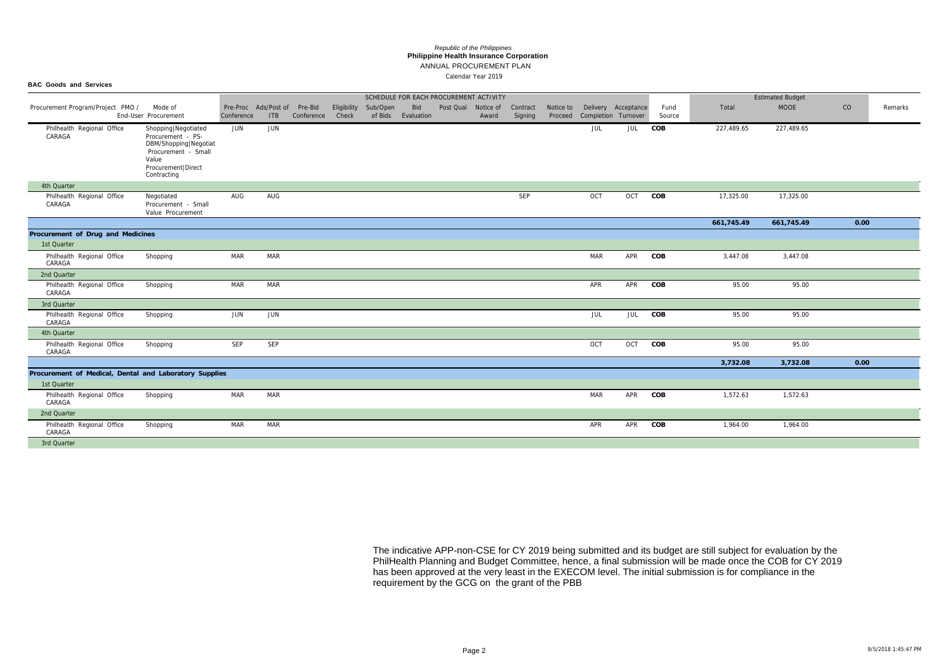**BAC Goods and Services**

#### ANNUAL PROCUREMENT PLAN **Philippine Health Insurance Corporation** *Republic of the Philippines*

|                                                        |                                                                                                                                            |                                            |            |            |                      |          |                           | SCHEDULE FOR EACH PROCUREMENT ACTIVITY |       |                     |                      |                                            |     |                |            | <b>Estimated Budget</b> |      |         |
|--------------------------------------------------------|--------------------------------------------------------------------------------------------------------------------------------------------|--------------------------------------------|------------|------------|----------------------|----------|---------------------------|----------------------------------------|-------|---------------------|----------------------|--------------------------------------------|-----|----------------|------------|-------------------------|------|---------|
| Procurement Program/Project PMO /                      | Mode of<br>End-User Procurement                                                                                                            | Pre-Proc Ads/Post of Pre-Bid<br>Conference | <b>ITB</b> | Conference | Eligibility<br>Check | Sub/Open | Bid<br>of Bids Evaluation | Post Qual Notice of                    | Award | Contract<br>Signing | Notice to<br>Proceed | Delivery Acceptance<br>Completion Turnover |     | Fund<br>Source | Total      | <b>MOOE</b>             | CO   | Remarks |
| Philhealth Regional Office<br>CARAGA                   | Shopping   Negotiated<br>Procurement - PS-<br>DBM/Shopping Negotiat<br>Procurement - Small<br>Value<br>Procurement   Direct<br>Contracting | JUN                                        | JUN        |            |                      |          |                           |                                        |       |                     |                      | JUL                                        | JUL | COB            | 227,489.65 | 227,489.65              |      |         |
| 4th Quarter                                            |                                                                                                                                            |                                            |            |            |                      |          |                           |                                        |       |                     |                      |                                            |     |                |            |                         |      |         |
| Philhealth Regional Office<br>CARAGA                   | Negotiated<br>Procurement - Small<br>Value Procurement                                                                                     | AUG                                        | AUG        |            |                      |          |                           |                                        |       | SEP                 |                      | OCT                                        | OCT | COB            | 17,325.00  | 17,325.00               |      |         |
|                                                        |                                                                                                                                            |                                            |            |            |                      |          |                           |                                        |       |                     |                      |                                            |     |                | 661,745.49 | 661,745.49              | 0.00 |         |
| Procurement of Drug and Medicines                      |                                                                                                                                            |                                            |            |            |                      |          |                           |                                        |       |                     |                      |                                            |     |                |            |                         |      |         |
| 1st Quarter                                            |                                                                                                                                            |                                            |            |            |                      |          |                           |                                        |       |                     |                      |                                            |     |                |            |                         |      |         |
| Philhealth Regional Office<br>CARAGA                   | Shopping                                                                                                                                   | MAR                                        | <b>MAR</b> |            |                      |          |                           |                                        |       |                     |                      | MAR                                        | APR | COB            | 3,447.08   | 3,447.08                |      |         |
| 2nd Quarter                                            |                                                                                                                                            |                                            |            |            |                      |          |                           |                                        |       |                     |                      |                                            |     |                |            |                         |      |         |
| Philhealth Regional Office<br>CARAGA                   | Shopping                                                                                                                                   | <b>MAR</b>                                 | MAR        |            |                      |          |                           |                                        |       |                     |                      | APR                                        | APR | COB            | 95.00      | 95.00                   |      |         |
| 3rd Quarter                                            |                                                                                                                                            |                                            |            |            |                      |          |                           |                                        |       |                     |                      |                                            |     |                |            |                         |      |         |
| Philhealth Regional Office<br>CARAGA                   | Shopping                                                                                                                                   | JUN                                        | JUN        |            |                      |          |                           |                                        |       |                     |                      | JUL                                        | JUL | COB            | 95.00      | 95.00                   |      |         |
| 4th Quarter                                            |                                                                                                                                            |                                            |            |            |                      |          |                           |                                        |       |                     |                      |                                            |     |                |            |                         |      |         |
| Philhealth Regional Office<br>CARAGA                   | Shopping                                                                                                                                   | SEP                                        | SEP        |            |                      |          |                           |                                        |       |                     |                      | OCT                                        | OCT | COB            | 95.00      | 95.00                   |      |         |
|                                                        |                                                                                                                                            |                                            |            |            |                      |          |                           |                                        |       |                     |                      |                                            |     |                | 3,732.08   | 3,732.08                | 0.00 |         |
| Procurement of Medical, Dental and Laboratory Supplies |                                                                                                                                            |                                            |            |            |                      |          |                           |                                        |       |                     |                      |                                            |     |                |            |                         |      |         |
| 1st Quarter                                            |                                                                                                                                            |                                            |            |            |                      |          |                           |                                        |       |                     |                      |                                            |     |                |            |                         |      |         |
| Philhealth Regional Office<br>CARAGA                   | Shopping                                                                                                                                   | <b>MAR</b>                                 | <b>MAR</b> |            |                      |          |                           |                                        |       |                     |                      | MAR                                        | APR | COB            | 1,572.63   | 1,572.63                |      |         |
| 2nd Quarter                                            |                                                                                                                                            |                                            |            |            |                      |          |                           |                                        |       |                     |                      |                                            |     |                |            |                         |      |         |
| Philhealth Regional Office<br>CARAGA                   | Shopping                                                                                                                                   | MAR                                        | <b>MAR</b> |            |                      |          |                           |                                        |       |                     |                      | APR                                        | APR | COB            | 1,964.00   | 1,964.00                |      |         |
| 3rd Quarter                                            |                                                                                                                                            |                                            |            |            |                      |          |                           |                                        |       |                     |                      |                                            |     |                |            |                         |      |         |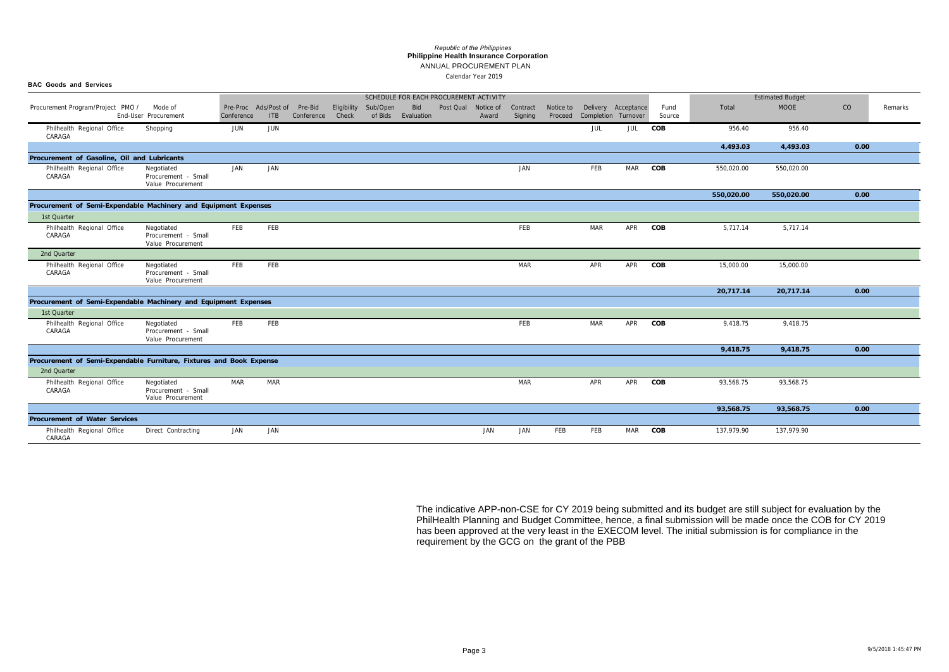ANNUAL PROCUREMENT PLAN

# **Philippine Health Insurance Corporation** *Republic of the Philippines*

| <b>BAC Goods and Services</b>                                                      |                                                        |            |                                            |            |       |                      |                                        |                         |       |                     |                      |                                            |     |                |            |                         |      |         |
|------------------------------------------------------------------------------------|--------------------------------------------------------|------------|--------------------------------------------|------------|-------|----------------------|----------------------------------------|-------------------------|-------|---------------------|----------------------|--------------------------------------------|-----|----------------|------------|-------------------------|------|---------|
|                                                                                    |                                                        |            |                                            |            |       |                      | SCHEDULE FOR EACH PROCUREMENT ACTIVITY |                         |       |                     |                      |                                            |     |                |            | <b>Estimated Budget</b> |      |         |
| Procurement Program/Project PMO /                                                  | Mode of<br>End-User Procurement                        | Conference | Pre-Proc Ads/Post of Pre-Bid<br><b>ITB</b> | Conference | Check | Eligibility Sub/Open | of Bids Evaluation                     | Bid Post Qual Notice of | Award | Contract<br>Signing | Notice to<br>Proceed | Delivery Acceptance<br>Completion Turnover |     | Fund<br>Source | Total      | <b>MOOE</b>             | CO   | Remarks |
| Philhealth Regional Office<br>CARAGA                                               | Shopping                                               | JUN        | JUN                                        |            |       |                      |                                        |                         |       |                     |                      | JUL                                        | JUL | COB            | 956.40     | 956.40                  |      |         |
|                                                                                    |                                                        |            |                                            |            |       |                      |                                        |                         |       |                     |                      |                                            |     |                | 4,493.03   | 4,493.03                | 0.00 |         |
| Procurement of Gasoline, Oil and Lubricants                                        |                                                        |            |                                            |            |       |                      |                                        |                         |       |                     |                      |                                            |     |                |            |                         |      |         |
| Philhealth Regional Office<br>CARAGA                                               | Negotiated<br>Procurement - Small<br>Value Procurement | JAN        | JAN                                        |            |       |                      |                                        |                         |       | JAN                 |                      | FEB                                        | MAR | COB            | 550,020.00 | 550,020.00              |      |         |
|                                                                                    |                                                        |            |                                            |            |       |                      |                                        |                         |       |                     |                      |                                            |     |                | 550,020.00 | 550,020.00              | 0.00 |         |
| Procurement of Semi-Expendable Machinery and Equipment Expenses                    |                                                        |            |                                            |            |       |                      |                                        |                         |       |                     |                      |                                            |     |                |            |                         |      |         |
| 1st Quarter                                                                        |                                                        |            |                                            |            |       |                      |                                        |                         |       |                     |                      |                                            |     |                |            |                         |      |         |
| Philhealth Regional Office<br>CARAGA                                               | Negotiated<br>Procurement - Small<br>Value Procurement | FEB        | FEB                                        |            |       |                      |                                        |                         |       | FEB                 |                      | <b>MAR</b>                                 | APR | COB            | 5,717.14   | 5,717.14                |      |         |
| 2nd Quarter                                                                        |                                                        |            |                                            |            |       |                      |                                        |                         |       |                     |                      |                                            |     |                |            |                         |      |         |
| Philhealth Regional Office<br>CARAGA                                               | Negotiated<br>Procurement - Small<br>Value Procurement | FEB        | <b>FEB</b>                                 |            |       |                      |                                        |                         |       | <b>MAR</b>          |                      | APR                                        | APR | COB            | 15,000.00  | 15,000.00               |      |         |
|                                                                                    |                                                        |            |                                            |            |       |                      |                                        |                         |       |                     |                      |                                            |     |                | 20,717.14  | 20,717.14               | 0.00 |         |
| Procurement of Semi-Expendable Machinery and Equipment Expenses                    |                                                        |            |                                            |            |       |                      |                                        |                         |       |                     |                      |                                            |     |                |            |                         |      |         |
| 1st Quarter                                                                        |                                                        |            |                                            |            |       |                      |                                        |                         |       |                     |                      |                                            |     |                |            |                         |      |         |
| Philhealth Regional Office<br>CARAGA                                               | Negotiated<br>Procurement - Small<br>Value Procurement | FEB        | FEB                                        |            |       |                      |                                        |                         |       | FEB                 |                      | <b>MAR</b>                                 | APR | COB            | 9,418.75   | 9,418.75                |      |         |
|                                                                                    |                                                        |            |                                            |            |       |                      |                                        |                         |       |                     |                      |                                            |     |                | 9,418.75   | 9,418.75                | 0.00 |         |
| Procurement of Semi-Expendable Furniture, Fixtures and Book Expense<br>2nd Quarter |                                                        |            |                                            |            |       |                      |                                        |                         |       |                     |                      |                                            |     |                |            |                         |      |         |
| Philhealth Regional Office<br>CARAGA                                               | Negotiated<br>Procurement - Small<br>Value Procurement | <b>MAR</b> | <b>MAR</b>                                 |            |       |                      |                                        |                         |       | <b>MAR</b>          |                      | APR                                        | APR | COB            | 93,568.75  | 93,568.75               |      |         |
|                                                                                    |                                                        |            |                                            |            |       |                      |                                        |                         |       |                     |                      |                                            |     |                | 93,568.75  | 93,568.75               | 0.00 |         |
| Procurement of Water Services                                                      |                                                        |            |                                            |            |       |                      |                                        |                         |       |                     |                      |                                            |     |                |            |                         |      |         |
| Philhealth Regional Office<br>CARAGA                                               | Direct Contracting                                     | JAN        | JAN                                        |            |       |                      |                                        |                         | JAN   | JAN                 | FEB                  | FEB                                        | MAR | COB            | 137,979.90 | 137,979.90              |      |         |

|            | <b>Estimated Budget</b> |      |         |
|------------|-------------------------|------|---------|
| Total      | <b>MOOE</b>             | CO   | Remarks |
| 956.40     | 956.40                  |      |         |
| 4,493.03   | 4,493.03                | 0.00 |         |
|            |                         |      |         |
| 550,020.00 | 550,020.00              |      |         |
| 550,020.00 | 550,020.00              | 0.00 |         |
|            |                         |      |         |
| 5,717.14   | 5,717.14                |      |         |
|            |                         |      |         |
| 15,000.00  | 15,000.00               |      |         |
| 20,717.14  | 20,717.14               | 0.00 |         |
|            |                         |      |         |
| 9,418.75   | 9,418.75                |      |         |
| 9,418.75   | 9,418.75                | 0.00 |         |
|            |                         |      |         |
| 93,568.75  | 93,568.75               |      |         |
| 93,568.75  | 93,568.75               | 0.00 |         |
|            |                         |      |         |
| 137,979.90 | 137,979.90              |      |         |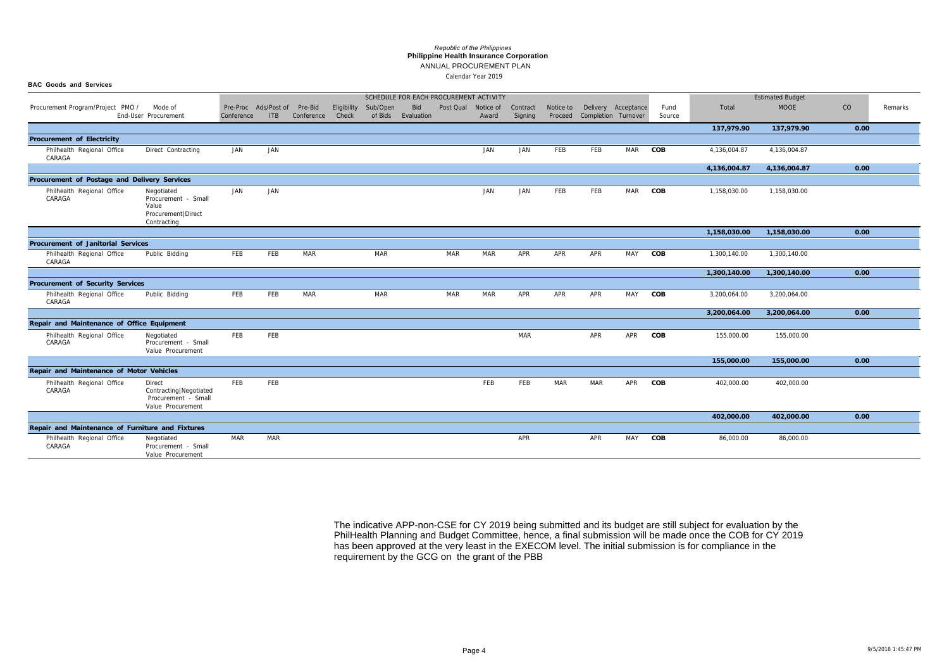## ANNUAL PROCUREMENT PLAN

### **Philippine Health Insurance Corporation** *Republic of the Philippines*

| <b>BAC Goods and Services</b>                    |                                                                                   |            |                                     |                  |             |                                        |     |                     |            |                     |            |                                                              |            |                |              |                         |      |         |
|--------------------------------------------------|-----------------------------------------------------------------------------------|------------|-------------------------------------|------------------|-------------|----------------------------------------|-----|---------------------|------------|---------------------|------------|--------------------------------------------------------------|------------|----------------|--------------|-------------------------|------|---------|
|                                                  |                                                                                   |            |                                     |                  |             | SCHEDULE FOR EACH PROCUREMENT ACTIVITY |     |                     |            |                     |            |                                                              |            |                |              | <b>Estimated Budget</b> |      |         |
| Procurement Program/Project PMO /                | Mode of<br>End-User Procurement                                                   | Conference | Pre-Proc Ads/Post of Pre-Bid<br>ITB | Conference Check | Eligibility | Sub/Open<br>of Bids Evaluation         | Bid | Post Qual Notice of | Award      | Contract<br>Signing |            | Notice to Delivery Acceptance<br>Proceed Completion Turnover |            | Fund<br>Source | Total        | <b>MOOE</b>             | CO   | Remarks |
|                                                  |                                                                                   |            |                                     |                  |             |                                        |     |                     |            |                     |            |                                                              |            |                | 137,979.90   | 137,979.90              | 0.00 |         |
| Procurement of Electricity                       |                                                                                   |            |                                     |                  |             |                                        |     |                     |            |                     |            |                                                              |            |                |              |                         |      |         |
| Philhealth Regional Office<br>CARAGA             | Direct Contracting                                                                | JAN        | JAN                                 |                  |             |                                        |     |                     | JAN        | JAN                 | FEB        | FEB                                                          | <b>MAR</b> | COB            | 4,136,004.87 | 4,136,004.87            |      |         |
|                                                  |                                                                                   |            |                                     |                  |             |                                        |     |                     |            |                     |            |                                                              |            |                | 4,136,004.87 | 4,136,004.87            | 0.00 |         |
| Procurement of Postage and Delivery Services     |                                                                                   |            |                                     |                  |             |                                        |     |                     |            |                     |            |                                                              |            |                |              |                         |      |         |
| Philhealth Regional Office<br>CARAGA             | Negotiated<br>Procurement - Small<br>Value<br>Procurement   Direct<br>Contracting | JAN        | JAN                                 |                  |             |                                        |     |                     | JAN        | JAN                 | FEB        | FEB                                                          | <b>MAR</b> | COB            | 1,158,030.00 | 1,158,030.00            |      |         |
|                                                  |                                                                                   |            |                                     |                  |             |                                        |     |                     |            |                     |            |                                                              |            |                | 1,158,030.00 | 1,158,030.00            | 0.00 |         |
| Procurement of Janitorial Services               |                                                                                   |            |                                     |                  |             |                                        |     |                     |            |                     |            |                                                              |            |                |              |                         |      |         |
| Philhealth Regional Office<br>CARAGA             | Public Bidding                                                                    | FEB        | FEB                                 | <b>MAR</b>       |             | <b>MAR</b>                             |     | MAR                 | <b>MAR</b> | APR                 | APR        | APR                                                          | MAY COB    |                | 1,300,140.00 | 1,300,140.00            |      |         |
|                                                  |                                                                                   |            |                                     |                  |             |                                        |     |                     |            |                     |            |                                                              |            |                | 1,300,140.00 | 1,300,140.00            | 0.00 |         |
| Procurement of Security Services                 |                                                                                   |            |                                     |                  |             |                                        |     |                     |            |                     |            |                                                              |            |                |              |                         |      |         |
| Philhealth Regional Office<br>CARAGA             | Public Bidding                                                                    | FEB        | FEB                                 | <b>MAR</b>       |             | <b>MAR</b>                             |     | <b>MAR</b>          | <b>MAR</b> | APR                 | APR        | APR                                                          | <b>MAY</b> | COB            | 3,200,064.00 | 3,200,064.00            |      |         |
|                                                  |                                                                                   |            |                                     |                  |             |                                        |     |                     |            |                     |            |                                                              |            |                | 3,200,064.00 | 3,200,064.00            | 0.00 |         |
| Repair and Maintenance of Office Equipment       |                                                                                   |            |                                     |                  |             |                                        |     |                     |            |                     |            |                                                              |            |                |              |                         |      |         |
| Philhealth Regional Office<br>CARAGA             | Negotiated<br>Procurement - Small<br>Value Procurement                            | FEB        | FEB                                 |                  |             |                                        |     |                     |            | <b>MAR</b>          |            | APR                                                          | APR        | COB            | 155,000.00   | 155,000.00              |      |         |
|                                                  |                                                                                   |            |                                     |                  |             |                                        |     |                     |            |                     |            |                                                              |            |                | 155,000.00   | 155,000.00              | 0.00 |         |
| Repair and Maintenance of Motor Vehicles         |                                                                                   |            |                                     |                  |             |                                        |     |                     |            |                     |            |                                                              |            |                |              |                         |      |         |
| Philhealth Regional Office<br>CARAGA             | Direct<br>Contracting   Negotiated<br>Procurement - Small<br>Value Procurement    | FEB        | FEB                                 |                  |             |                                        |     |                     | FEB        | FEB                 | <b>MAR</b> | <b>MAR</b>                                                   | APR        | COB            | 402,000.00   | 402,000.00              |      |         |
|                                                  |                                                                                   |            |                                     |                  |             |                                        |     |                     |            |                     |            |                                                              |            |                | 402,000.00   | 402,000.00              | 0.00 |         |
| Repair and Maintenance of Furniture and Fixtures |                                                                                   |            |                                     |                  |             |                                        |     |                     |            |                     |            |                                                              |            |                |              |                         |      |         |
| Philhealth Regional Office<br>CARAGA             | Negotiated<br>Procurement - Small<br>Value Procurement                            | MAR        | MAR                                 |                  |             |                                        |     |                     |            | APR                 |            | APR                                                          | MAY        | COB            | 86,000.00    | 86,000.00               |      |         |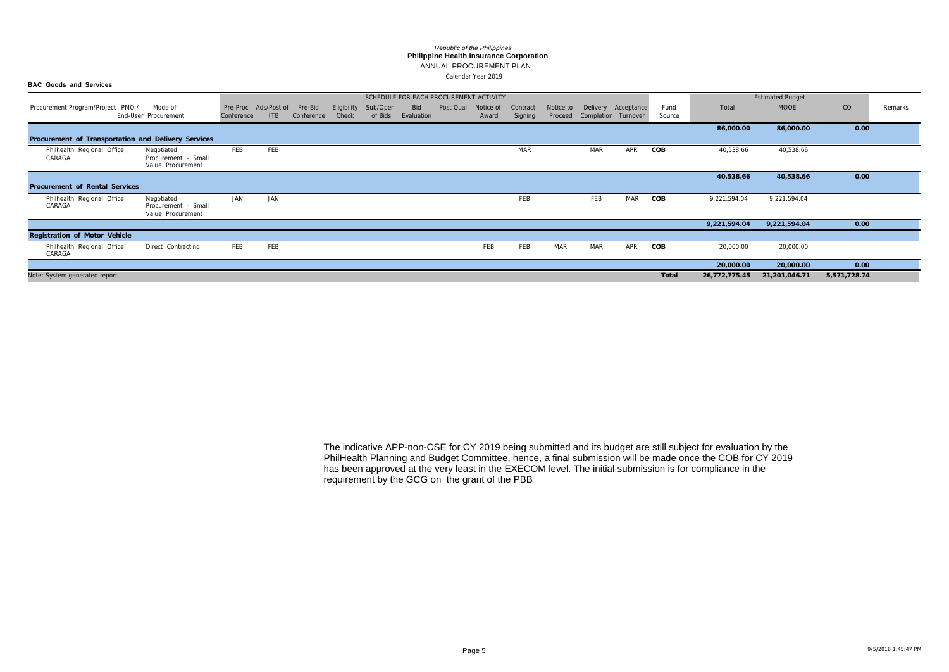#### **BAC Goods and Services**

# ANNUAL PROCUREMENT PLAN

#### **Philippine Health Insurance Corporation** *Republic of the Philippines*

|                                                     |                                                        |            |             |            |             |          |            | SCHEDULE FOR EACH PROCUREMENT ACTIVITY |           |            |            |                     |     |        |               | <b>Estimated Budget</b> |              |         |
|-----------------------------------------------------|--------------------------------------------------------|------------|-------------|------------|-------------|----------|------------|----------------------------------------|-----------|------------|------------|---------------------|-----|--------|---------------|-------------------------|--------------|---------|
| Procurement Program/Project PMO /                   | Mode of                                                | Pre-Proc   | Ads/Post of | Pre-Bid    | Eligibility | Sub/Open | Bid        | Post Qual                              | Notice of | Contract   | Notice to  | Delivery Acceptance |     | Fund   | Total         | <b>MOOE</b>             | CO           | Remarks |
| End-User Procurement                                |                                                        | Conference | <b>ITB</b>  | Conference | Check       | of Bids  | Evaluation |                                        | Award     | Signing    | Proceed    | Completion Turnover |     | Source |               |                         |              |         |
|                                                     |                                                        |            |             |            |             |          |            |                                        |           |            |            |                     |     |        | 86,000.00     | 86,000.00               | 0.00         |         |
| Procurement of Transportation and Delivery Services |                                                        |            |             |            |             |          |            |                                        |           |            |            |                     |     |        |               |                         |              |         |
| Philhealth Regional Office                          | Negotiated                                             | FEB        | FEB         |            |             |          |            |                                        |           | <b>MAR</b> |            | <b>MAR</b>          | APR | COB    | 40,538.66     | 40,538.66               |              |         |
| CARAGA                                              | Procurement - Small<br>Value Procurement               |            |             |            |             |          |            |                                        |           |            |            |                     |     |        |               |                         |              |         |
|                                                     |                                                        |            |             |            |             |          |            |                                        |           |            |            |                     |     |        | 40,538.66     | 40,538.66               | 0.00         |         |
| Procurement of Rental Services                      |                                                        |            |             |            |             |          |            |                                        |           |            |            |                     |     |        |               |                         |              |         |
| Philhealth Regional Office<br>CARAGA                | Negotiated<br>Procurement - Small<br>Value Procurement | JAN        | JAN         |            |             |          |            |                                        |           | FEB        |            | FEB                 | MAR | COB    | 9,221,594.04  | 9,221,594.04            |              |         |
|                                                     |                                                        |            |             |            |             |          |            |                                        |           |            |            |                     |     |        | 9,221,594.04  | 9,221,594.04            | 0.00         |         |
| Registration of Motor Vehicle                       |                                                        |            |             |            |             |          |            |                                        |           |            |            |                     |     |        |               |                         |              |         |
| Philhealth Regional Office<br>CARAGA                | Direct Contracting                                     | FEB        | FEB         |            |             |          |            |                                        | FEB       | FEB        | <b>MAR</b> | <b>MAR</b>          | APR | COB    | 20,000.00     | 20,000.00               |              |         |
|                                                     |                                                        |            |             |            |             |          |            |                                        |           |            |            |                     |     |        | 20,000.00     | 20,000.00               | 0.00         |         |
| Note: System generated report.                      |                                                        |            |             |            |             |          |            |                                        |           |            |            |                     |     | Total  | 26,772,775.45 | 21,201,046.71           | 5,571,728.74 |         |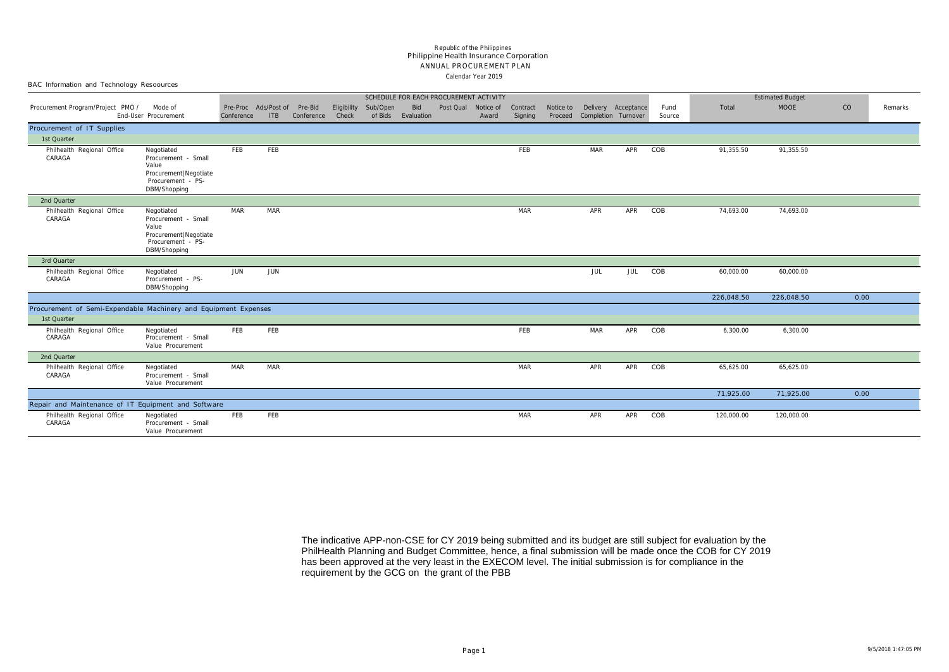|  |  |  | BAC Information and Technology Resoources |  |
|--|--|--|-------------------------------------------|--|
|--|--|--|-------------------------------------------|--|

#### Calendar Year 2019 ANNUAL PROCUREMENT PLAN Philippine Health Insurance Corporation *Republic of the Philippines*

| SCHEDULE FOR EACH PROCUREMENT ACTIVITY                          |                                                                                                            |            |                             |                       |                      |                     |                   |                     |       |                     |         |                                                      |     |                |            | <b>Estimated Budget</b> |      |                |
|-----------------------------------------------------------------|------------------------------------------------------------------------------------------------------------|------------|-----------------------------|-----------------------|----------------------|---------------------|-------------------|---------------------|-------|---------------------|---------|------------------------------------------------------|-----|----------------|------------|-------------------------|------|----------------|
| Procurement Program/Project PMO /                               | Mode of<br>End-User Procurement                                                                            | Conference | Pre-Proc Ads/Post of<br>ITB | Pre-Bid<br>Conference | Eligibility<br>Check | Sub/Open<br>of Bids | Bid<br>Evaluation | Post Qual Notice of | Award | Contract<br>Signing | Proceed | Notice to Delivery Acceptance<br>Completion Turnover |     | Fund<br>Source | Total      | <b>MOOE</b>             | CO   | <b>Remarks</b> |
| Procurement of IT Supplies                                      |                                                                                                            |            |                             |                       |                      |                     |                   |                     |       |                     |         |                                                      |     |                |            |                         |      |                |
| 1st Quarter                                                     |                                                                                                            |            |                             |                       |                      |                     |                   |                     |       |                     |         |                                                      |     |                |            |                         |      |                |
| Philhealth Regional Office<br>CARAGA                            | Negotiated<br>Procurement - Small<br>Value<br>Procurement   Negotiate<br>Procurement - PS-<br>DBM/Shopping | FEB        | FEB                         |                       |                      |                     |                   |                     |       | FEB                 |         | <b>MAR</b>                                           | APR | COB            | 91,355.50  | 91,355.50               |      |                |
| 2nd Quarter                                                     |                                                                                                            |            |                             |                       |                      |                     |                   |                     |       |                     |         |                                                      |     |                |            |                         |      |                |
| Philhealth Regional Office<br>CARAGA                            | Negotiated<br>Procurement - Small<br>Value<br>Procurement   Negotiate<br>Procurement - PS-<br>DBM/Shopping | MAR        | <b>MAR</b>                  |                       |                      |                     |                   |                     |       | <b>MAR</b>          |         | APR                                                  | APR | COB            | 74,693.00  | 74,693.00               |      |                |
| 3rd Quarter                                                     |                                                                                                            |            |                             |                       |                      |                     |                   |                     |       |                     |         |                                                      |     |                |            |                         |      |                |
| Philhealth Regional Office<br>CARAGA                            | Negotiated<br>Procurement - PS-<br>DBM/Shopping                                                            | JUN        | JUN                         |                       |                      |                     |                   |                     |       |                     |         | JUL                                                  | JUL | COB            | 60,000.00  | 60,000.00               |      |                |
|                                                                 |                                                                                                            |            |                             |                       |                      |                     |                   |                     |       |                     |         |                                                      |     |                | 226,048.50 | 226,048.50              | 0.00 |                |
| Procurement of Semi-Expendable Machinery and Equipment Expenses |                                                                                                            |            |                             |                       |                      |                     |                   |                     |       |                     |         |                                                      |     |                |            |                         |      |                |
| 1st Quarter                                                     |                                                                                                            |            |                             |                       |                      |                     |                   |                     |       |                     |         |                                                      |     |                |            |                         |      |                |
| Philhealth Regional Office<br>CARAGA                            | Negotiated<br>Procurement - Small<br>Value Procurement                                                     | FEB        | FEB                         |                       |                      |                     |                   |                     |       | FEB                 |         | <b>MAR</b>                                           | APR | COB            | 6,300.00   | 6,300.00                |      |                |
| 2nd Quarter                                                     |                                                                                                            |            |                             |                       |                      |                     |                   |                     |       |                     |         |                                                      |     |                |            |                         |      |                |
| Philhealth Regional Office<br>CARAGA                            | Negotiated<br>Procurement - Small<br>Value Procurement                                                     | MAR        | <b>MAR</b>                  |                       |                      |                     |                   |                     |       | <b>MAR</b>          |         | APR                                                  | APR | COB            | 65,625.00  | 65,625.00               |      |                |
|                                                                 |                                                                                                            |            |                             |                       |                      |                     |                   |                     |       |                     |         |                                                      |     |                | 71,925.00  | 71,925.00               | 0.00 |                |
| Repair and Maintenance of IT Equipment and Software             |                                                                                                            |            |                             |                       |                      |                     |                   |                     |       |                     |         |                                                      |     |                |            |                         |      |                |
| Philhealth Regional Office<br>CARAGA                            | Negotiated<br>Procurement - Small<br>Value Procurement                                                     | FEB        | FEB                         |                       |                      |                     |                   |                     |       | <b>MAR</b>          |         | APR                                                  | APR | COB            | 120,000.00 | 120,000.00              |      |                |